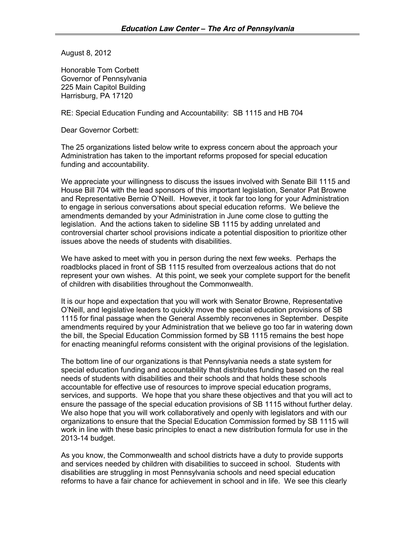August 8, 2012

Honorable Tom Corbett Governor of Pennsylvania 225 Main Capitol Building Harrisburg, PA 17120

RE: Special Education Funding and Accountability: SB 1115 and HB 704

Dear Governor Corbett:

The 25 organizations listed below write to express concern about the approach your Administration has taken to the important reforms proposed for special education funding and accountability.

We appreciate your willingness to discuss the issues involved with Senate Bill 1115 and House Bill 704 with the lead sponsors of this important legislation, Senator Pat Browne and Representative Bernie O'Neill. However, it took far too long for your Administration to engage in serious conversations about special education reforms. We believe the amendments demanded by your Administration in June come close to gutting the legislation. And the actions taken to sideline SB 1115 by adding unrelated and controversial charter school provisions indicate a potential disposition to prioritize other issues above the needs of students with disabilities.

We have asked to meet with you in person during the next few weeks. Perhaps the roadblocks placed in front of SB 1115 resulted from overzealous actions that do not represent your own wishes. At this point, we seek your complete support for the benefit of children with disabilities throughout the Commonwealth.

It is our hope and expectation that you will work with Senator Browne, Representative O'Neill, and legislative leaders to quickly move the special education provisions of SB 1115 for final passage when the General Assembly reconvenes in September. Despite amendments required by your Administration that we believe go too far in watering down the bill, the Special Education Commission formed by SB 1115 remains the best hope for enacting meaningful reforms consistent with the original provisions of the legislation.

The bottom line of our organizations is that Pennsylvania needs a state system for special education funding and accountability that distributes funding based on the real needs of students with disabilities and their schools and that holds these schools accountable for effective use of resources to improve special education programs, services, and supports. We hope that you share these objectives and that you will act to ensure the passage of the special education provisions of SB 1115 without further delay. We also hope that you will work collaboratively and openly with legislators and with our organizations to ensure that the Special Education Commission formed by SB 1115 will work in line with these basic principles to enact a new distribution formula for use in the 2013-14 budget.

As you know, the Commonwealth and school districts have a duty to provide supports and services needed by children with disabilities to succeed in school. Students with disabilities are struggling in most Pennsylvania schools and need special education reforms to have a fair chance for achievement in school and in life. We see this clearly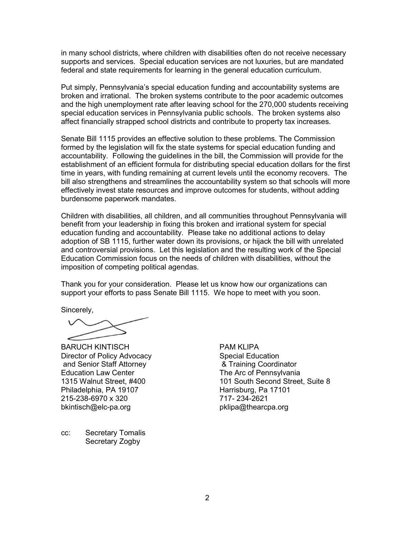in many school districts, where children with disabilities often do not receive necessary supports and services. Special education services are not luxuries, but are mandated federal and state requirements for learning in the general education curriculum.

Put simply, Pennsylvania's special education funding and accountability systems are broken and irrational. The broken systems contribute to the poor academic outcomes and the high unemployment rate after leaving school for the 270,000 students receiving special education services in Pennsylvania public schools. The broken systems also affect financially strapped school districts and contribute to property tax increases.

Senate Bill 1115 provides an effective solution to these problems. The Commission formed by the legislation will fix the state systems for special education funding and accountability. Following the guidelines in the bill, the Commission will provide for the establishment of an efficient formula for distributing special education dollars for the first time in years, with funding remaining at current levels until the economy recovers. The bill also strengthens and streamlines the accountability system so that schools will more effectively invest state resources and improve outcomes for students, without adding burdensome paperwork mandates.

Children with disabilities, all children, and all communities throughout Pennsylvania will benefit from your leadership in fixing this broken and irrational system for special education funding and accountability. Please take no additional actions to delay adoption of SB 1115, further water down its provisions, or hijack the bill with unrelated and controversial provisions. Let this legislation and the resulting work of the Special Education Commission focus on the needs of children with disabilities, without the imposition of competing political agendas.

Thank you for your consideration. Please let us know how our organizations can support your efforts to pass Senate Bill 1115. We hope to meet with you soon.

Sincerely,

BARUCH KINTISCH Director of Policy Advocacy and Senior Staff Attorney Education Law Center 1315 Walnut Street, #400 Philadelphia, PA 19107 215-238-6970 x 320 bkintisch@elc-pa.org

cc: Secretary Tomalis Secretary Zogby

PAM KLIPA Special Education & Training Coordinator The Arc of Pennsylvania 101 South Second Street, Suite 8 Harrisburg, Pa 17101 717- 234-2621 pklipa@thearcpa.org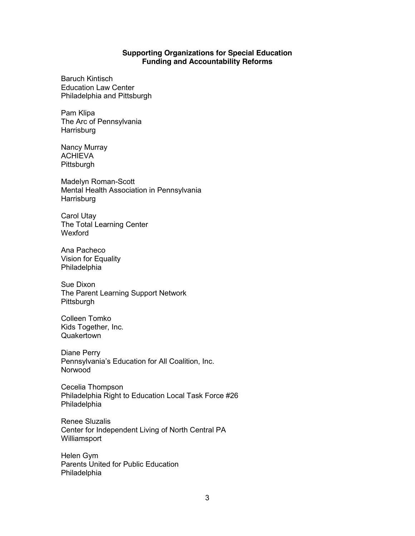## **Supporting Organizations for Special Education Funding and Accountability Reforms**

Baruch Kintisch Education Law Center Philadelphia and Pittsburgh

Pam Klipa The Arc of Pennsylvania **Harrisburg** 

Nancy Murray ACHIEVA **Pittsburgh** 

Madelyn Roman-Scott Mental Health Association in Pennsylvania **Harrisburg** 

Carol Utay The Total Learning Center Wexford

Ana Pacheco Vision for Equality Philadelphia

Sue Dixon The Parent Learning Support Network Pittsburgh

Colleen Tomko Kids Together, Inc. **Quakertown** 

Diane Perry Pennsylvania's Education for All Coalition, Inc. Norwood

Cecelia Thompson Philadelphia Right to Education Local Task Force #26 Philadelphia

Renee Sluzalis Center for Independent Living of North Central PA Williamsport

Helen Gym Parents United for Public Education Philadelphia